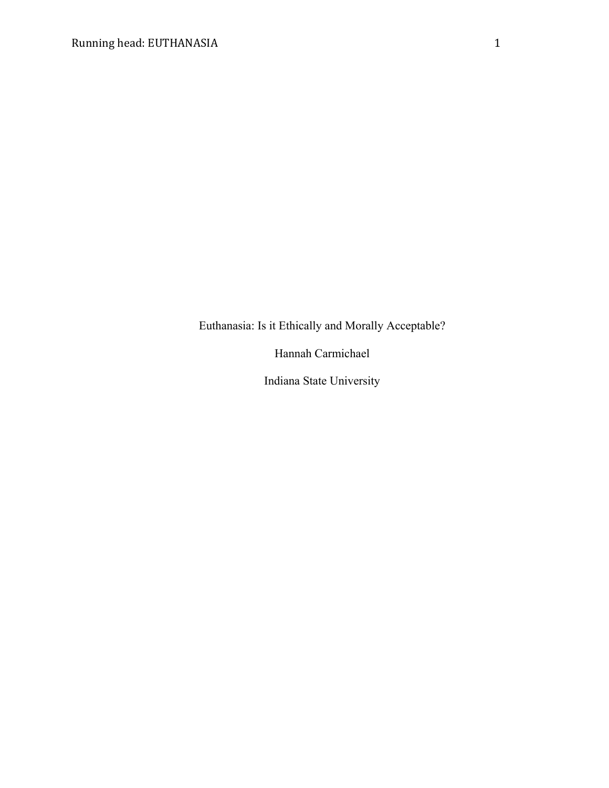Euthanasia: Is it Ethically and Morally Acceptable?

Hannah Carmichael

Indiana State University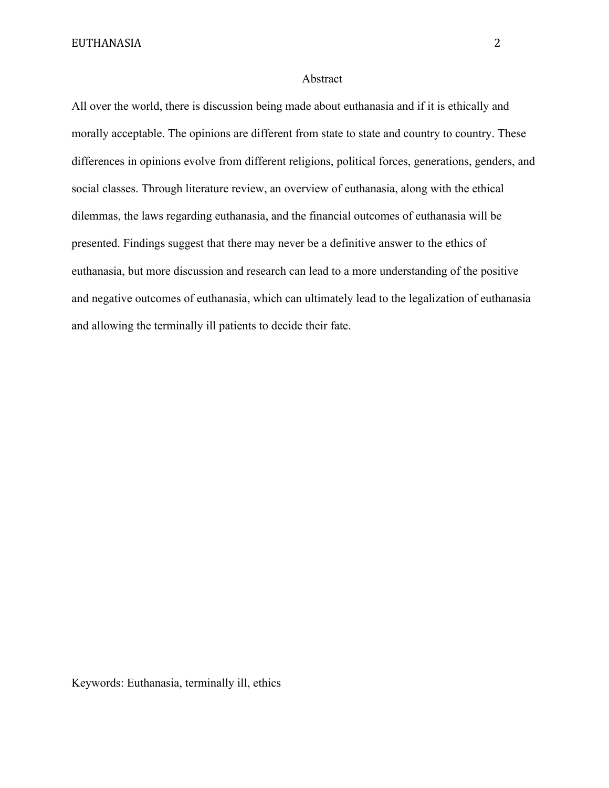# Abstract

All over the world, there is discussion being made about euthanasia and if it is ethically and morally acceptable. The opinions are different from state to state and country to country. These differences in opinions evolve from different religions, political forces, generations, genders, and social classes. Through literature review, an overview of euthanasia, along with the ethical dilemmas, the laws regarding euthanasia, and the financial outcomes of euthanasia will be presented. Findings suggest that there may never be a definitive answer to the ethics of euthanasia, but more discussion and research can lead to a more understanding of the positive and negative outcomes of euthanasia, which can ultimately lead to the legalization of euthanasia and allowing the terminally ill patients to decide their fate.

Keywords: Euthanasia, terminally ill, ethics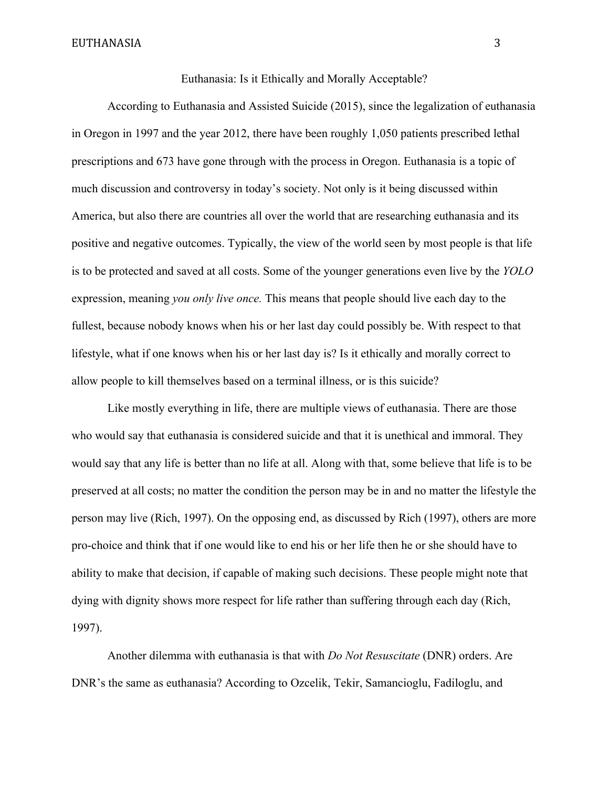Euthanasia: Is it Ethically and Morally Acceptable?

According to Euthanasia and Assisted Suicide (2015), since the legalization of euthanasia in Oregon in 1997 and the year 2012, there have been roughly 1,050 patients prescribed lethal prescriptions and 673 have gone through with the process in Oregon. Euthanasia is a topic of much discussion and controversy in today's society. Not only is it being discussed within America, but also there are countries all over the world that are researching euthanasia and its positive and negative outcomes. Typically, the view of the world seen by most people is that life is to be protected and saved at all costs. Some of the younger generations even live by the *YOLO*  expression, meaning *you only live once.* This means that people should live each day to the fullest, because nobody knows when his or her last day could possibly be. With respect to that lifestyle, what if one knows when his or her last day is? Is it ethically and morally correct to allow people to kill themselves based on a terminal illness, or is this suicide?

Like mostly everything in life, there are multiple views of euthanasia. There are those who would say that euthanasia is considered suicide and that it is unethical and immoral. They would say that any life is better than no life at all. Along with that, some believe that life is to be preserved at all costs; no matter the condition the person may be in and no matter the lifestyle the person may live (Rich, 1997). On the opposing end, as discussed by Rich (1997), others are more pro-choice and think that if one would like to end his or her life then he or she should have to ability to make that decision, if capable of making such decisions. These people might note that dying with dignity shows more respect for life rather than suffering through each day (Rich, 1997).

Another dilemma with euthanasia is that with *Do Not Resuscitate* (DNR) orders. Are DNR's the same as euthanasia? According to Ozcelik, Tekir, Samancioglu, Fadiloglu, and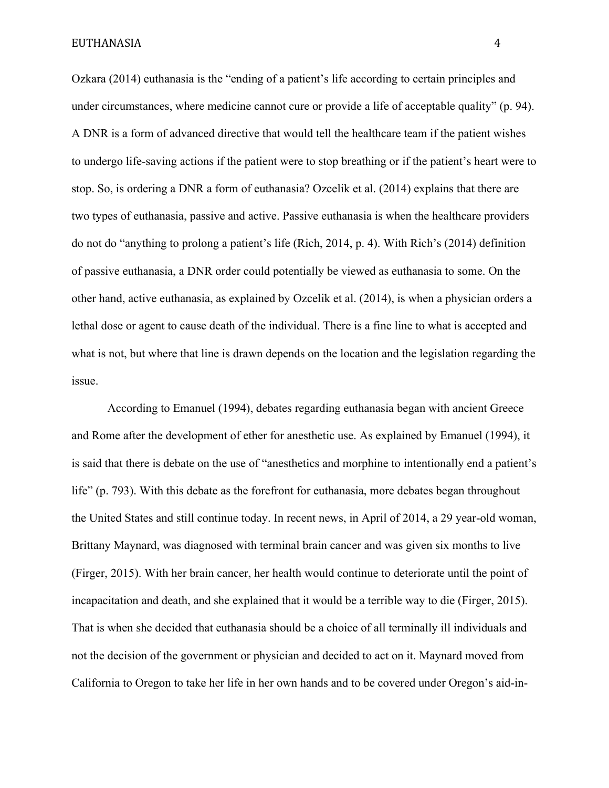Ozkara (2014) euthanasia is the "ending of a patient's life according to certain principles and under circumstances, where medicine cannot cure or provide a life of acceptable quality" (p. 94). A DNR is a form of advanced directive that would tell the healthcare team if the patient wishes to undergo life-saving actions if the patient were to stop breathing or if the patient's heart were to stop. So, is ordering a DNR a form of euthanasia? Ozcelik et al. (2014) explains that there are two types of euthanasia, passive and active. Passive euthanasia is when the healthcare providers do not do "anything to prolong a patient's life (Rich, 2014, p. 4). With Rich's (2014) definition of passive euthanasia, a DNR order could potentially be viewed as euthanasia to some. On the other hand, active euthanasia, as explained by Ozcelik et al. (2014), is when a physician orders a lethal dose or agent to cause death of the individual. There is a fine line to what is accepted and what is not, but where that line is drawn depends on the location and the legislation regarding the issue.

According to Emanuel (1994), debates regarding euthanasia began with ancient Greece and Rome after the development of ether for anesthetic use. As explained by Emanuel (1994), it is said that there is debate on the use of "anesthetics and morphine to intentionally end a patient's life" (p. 793). With this debate as the forefront for euthanasia, more debates began throughout the United States and still continue today. In recent news, in April of 2014, a 29 year-old woman, Brittany Maynard, was diagnosed with terminal brain cancer and was given six months to live (Firger, 2015). With her brain cancer, her health would continue to deteriorate until the point of incapacitation and death, and she explained that it would be a terrible way to die (Firger, 2015). That is when she decided that euthanasia should be a choice of all terminally ill individuals and not the decision of the government or physician and decided to act on it. Maynard moved from California to Oregon to take her life in her own hands and to be covered under Oregon's aid-in-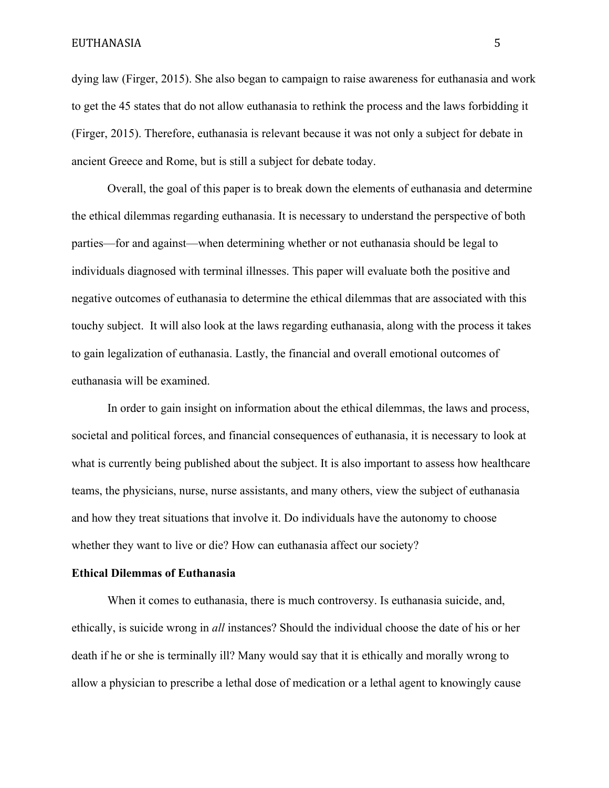dying law (Firger, 2015). She also began to campaign to raise awareness for euthanasia and work to get the 45 states that do not allow euthanasia to rethink the process and the laws forbidding it (Firger, 2015). Therefore, euthanasia is relevant because it was not only a subject for debate in ancient Greece and Rome, but is still a subject for debate today.

Overall, the goal of this paper is to break down the elements of euthanasia and determine the ethical dilemmas regarding euthanasia. It is necessary to understand the perspective of both parties—for and against—when determining whether or not euthanasia should be legal to individuals diagnosed with terminal illnesses. This paper will evaluate both the positive and negative outcomes of euthanasia to determine the ethical dilemmas that are associated with this touchy subject. It will also look at the laws regarding euthanasia, along with the process it takes to gain legalization of euthanasia. Lastly, the financial and overall emotional outcomes of euthanasia will be examined.

In order to gain insight on information about the ethical dilemmas, the laws and process, societal and political forces, and financial consequences of euthanasia, it is necessary to look at what is currently being published about the subject. It is also important to assess how healthcare teams, the physicians, nurse, nurse assistants, and many others, view the subject of euthanasia and how they treat situations that involve it. Do individuals have the autonomy to choose whether they want to live or die? How can euthanasia affect our society?

### **Ethical Dilemmas of Euthanasia**

When it comes to euthanasia, there is much controversy. Is euthanasia suicide, and, ethically, is suicide wrong in *all* instances? Should the individual choose the date of his or her death if he or she is terminally ill? Many would say that it is ethically and morally wrong to allow a physician to prescribe a lethal dose of medication or a lethal agent to knowingly cause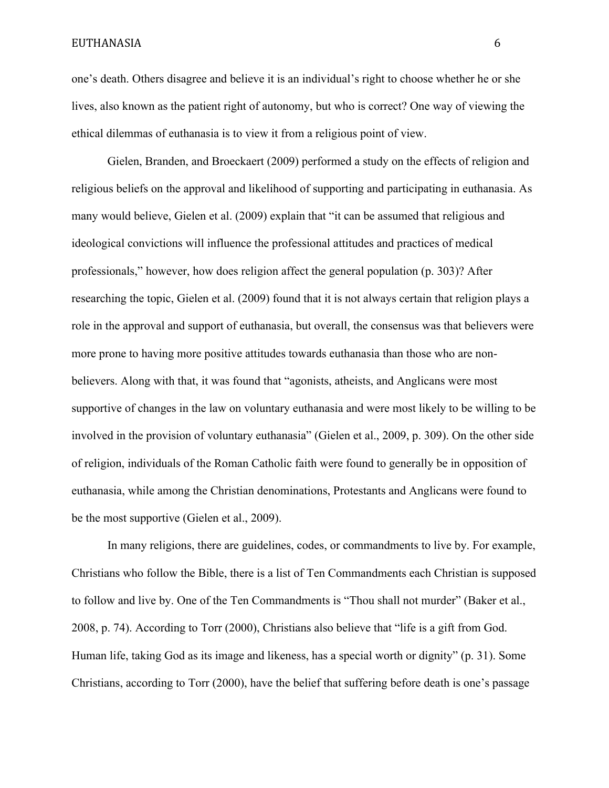one's death. Others disagree and believe it is an individual's right to choose whether he or she lives, also known as the patient right of autonomy, but who is correct? One way of viewing the ethical dilemmas of euthanasia is to view it from a religious point of view.

Gielen, Branden, and Broeckaert (2009) performed a study on the effects of religion and religious beliefs on the approval and likelihood of supporting and participating in euthanasia. As many would believe, Gielen et al. (2009) explain that "it can be assumed that religious and ideological convictions will influence the professional attitudes and practices of medical professionals," however, how does religion affect the general population (p. 303)? After researching the topic, Gielen et al. (2009) found that it is not always certain that religion plays a role in the approval and support of euthanasia, but overall, the consensus was that believers were more prone to having more positive attitudes towards euthanasia than those who are nonbelievers. Along with that, it was found that "agonists, atheists, and Anglicans were most supportive of changes in the law on voluntary euthanasia and were most likely to be willing to be involved in the provision of voluntary euthanasia" (Gielen et al., 2009, p. 309). On the other side of religion, individuals of the Roman Catholic faith were found to generally be in opposition of euthanasia, while among the Christian denominations, Protestants and Anglicans were found to be the most supportive (Gielen et al., 2009).

In many religions, there are guidelines, codes, or commandments to live by. For example, Christians who follow the Bible, there is a list of Ten Commandments each Christian is supposed to follow and live by. One of the Ten Commandments is "Thou shall not murder" (Baker et al., 2008, p. 74). According to Torr (2000), Christians also believe that "life is a gift from God. Human life, taking God as its image and likeness, has a special worth or dignity" (p. 31). Some Christians, according to Torr (2000), have the belief that suffering before death is one's passage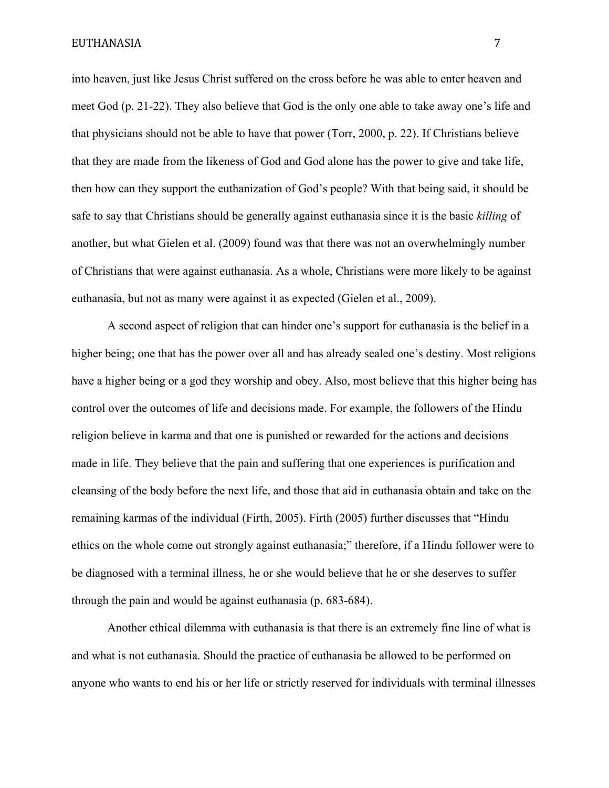into heaven, just like Jesus Christ suffered on the cross before he was able to enter heaven and meet God (p. 21-22). They also believe that God is the only one able to take away one's life and that physicians should not be able to have that power (Torr, 2000, p. 22). If Christians believe that they are made from the likeness of God and God alone has the power to give and take life, then how can they support the euthanization of God's people? With that being said, it should be safe to say that Christians should be generally against euthanasia since it is the basic *killing* of another, but what Gielen et al. (2009) found was that there was not an overwhelmingly number of Christians that were against euthanasia. As a whole, Christians were more likely to be against euthanasia, but not as many were against it as expected (Gielen et al., 2009).

A second aspect of religion that can hinder one's support for euthanasia is the belief in a higher being; one that has the power over all and has already sealed one's destiny. Most religions have a higher being or a god they worship and obey. Also, most believe that this higher being has control over the outcomes of life and decisions made. For example, the followers of the Hindu religion believe in karma and that one is punished or rewarded for the actions and decisions made in life. They believe that the pain and suffering that one experiences is purification and cleansing of the body before the next life, and those that aid in euthanasia obtain and take on the remaining karmas of the individual (Firth, 2005). Firth (2005) further discusses that "Hindu ethics on the whole come out strongly against euthanasia;" therefore, if a Hindu follower were to be diagnosed with a terminal illness, he or she would believe that he or she deserves to suffer through the pain and would be against euthanasia (p. 683-684).

Another ethical dilemma with euthanasia is that there is an extremely fine line of what is and what is not euthanasia. Should the practice of euthanasia be allowed to be performed on anyone who wants to end his or her life or strictly reserved for individuals with terminal illnesses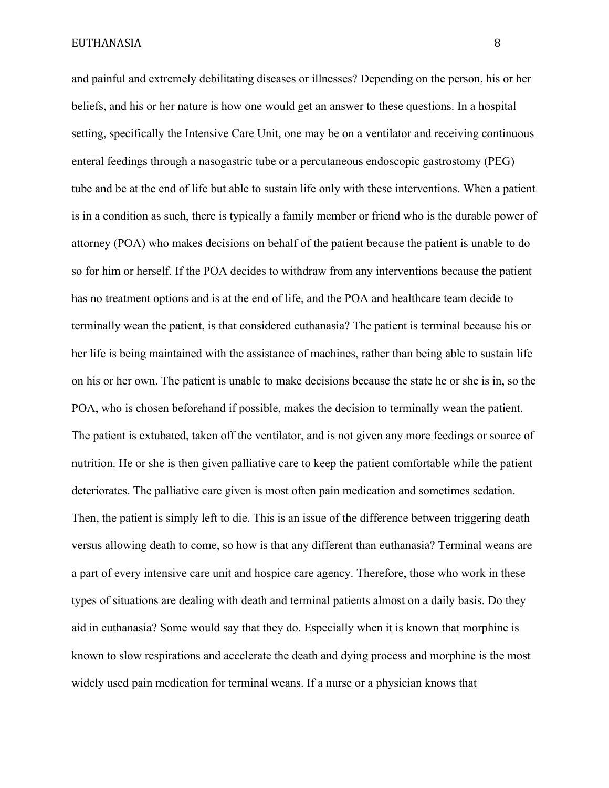and painful and extremely debilitating diseases or illnesses? Depending on the person, his or her beliefs, and his or her nature is how one would get an answer to these questions. In a hospital setting, specifically the Intensive Care Unit, one may be on a ventilator and receiving continuous enteral feedings through a nasogastric tube or a percutaneous endoscopic gastrostomy (PEG) tube and be at the end of life but able to sustain life only with these interventions. When a patient is in a condition as such, there is typically a family member or friend who is the durable power of attorney (POA) who makes decisions on behalf of the patient because the patient is unable to do so for him or herself. If the POA decides to withdraw from any interventions because the patient has no treatment options and is at the end of life, and the POA and healthcare team decide to terminally wean the patient, is that considered euthanasia? The patient is terminal because his or her life is being maintained with the assistance of machines, rather than being able to sustain life on his or her own. The patient is unable to make decisions because the state he or she is in, so the POA, who is chosen beforehand if possible, makes the decision to terminally wean the patient. The patient is extubated, taken off the ventilator, and is not given any more feedings or source of nutrition. He or she is then given palliative care to keep the patient comfortable while the patient deteriorates. The palliative care given is most often pain medication and sometimes sedation. Then, the patient is simply left to die. This is an issue of the difference between triggering death versus allowing death to come, so how is that any different than euthanasia? Terminal weans are a part of every intensive care unit and hospice care agency. Therefore, those who work in these types of situations are dealing with death and terminal patients almost on a daily basis. Do they aid in euthanasia? Some would say that they do. Especially when it is known that morphine is known to slow respirations and accelerate the death and dying process and morphine is the most widely used pain medication for terminal weans. If a nurse or a physician knows that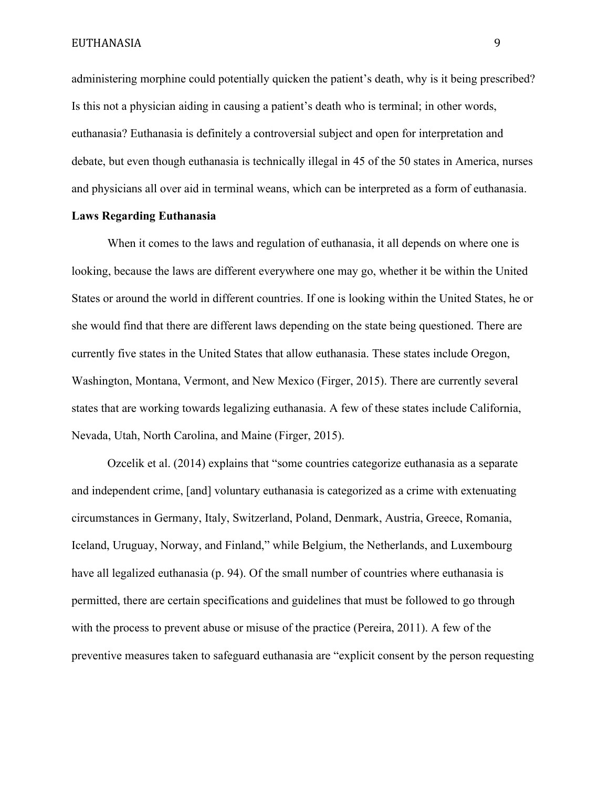administering morphine could potentially quicken the patient's death, why is it being prescribed? Is this not a physician aiding in causing a patient's death who is terminal; in other words, euthanasia? Euthanasia is definitely a controversial subject and open for interpretation and debate, but even though euthanasia is technically illegal in 45 of the 50 states in America, nurses and physicians all over aid in terminal weans, which can be interpreted as a form of euthanasia.

# **Laws Regarding Euthanasia**

When it comes to the laws and regulation of euthanasia, it all depends on where one is looking, because the laws are different everywhere one may go, whether it be within the United States or around the world in different countries. If one is looking within the United States, he or she would find that there are different laws depending on the state being questioned. There are currently five states in the United States that allow euthanasia. These states include Oregon, Washington, Montana, Vermont, and New Mexico (Firger, 2015). There are currently several states that are working towards legalizing euthanasia. A few of these states include California, Nevada, Utah, North Carolina, and Maine (Firger, 2015).

Ozcelik et al. (2014) explains that "some countries categorize euthanasia as a separate and independent crime, [and] voluntary euthanasia is categorized as a crime with extenuating circumstances in Germany, Italy, Switzerland, Poland, Denmark, Austria, Greece, Romania, Iceland, Uruguay, Norway, and Finland," while Belgium, the Netherlands, and Luxembourg have all legalized euthanasia (p. 94). Of the small number of countries where euthanasia is permitted, there are certain specifications and guidelines that must be followed to go through with the process to prevent abuse or misuse of the practice (Pereira, 2011). A few of the preventive measures taken to safeguard euthanasia are "explicit consent by the person requesting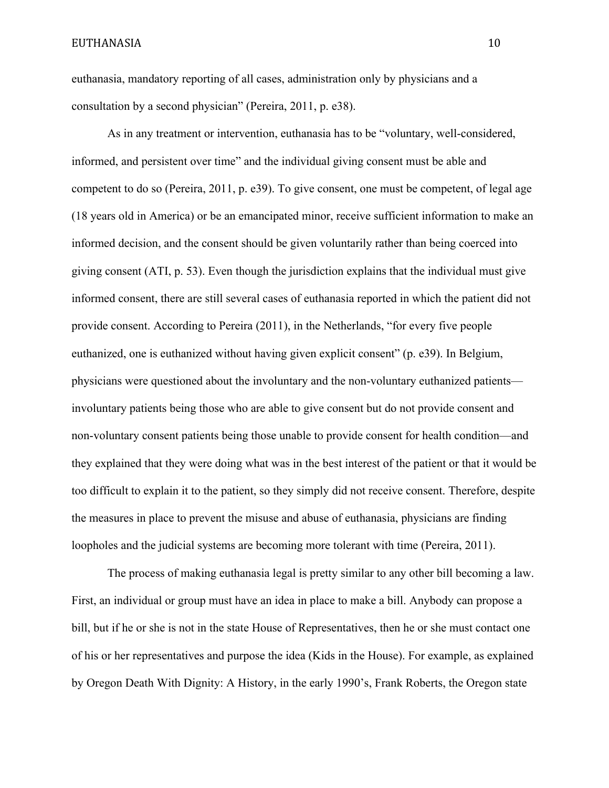euthanasia, mandatory reporting of all cases, administration only by physicians and a consultation by a second physician" (Pereira, 2011, p. e38).

As in any treatment or intervention, euthanasia has to be "voluntary, well-considered, informed, and persistent over time" and the individual giving consent must be able and competent to do so (Pereira, 2011, p. e39). To give consent, one must be competent, of legal age (18 years old in America) or be an emancipated minor, receive sufficient information to make an informed decision, and the consent should be given voluntarily rather than being coerced into giving consent (ATI, p. 53). Even though the jurisdiction explains that the individual must give informed consent, there are still several cases of euthanasia reported in which the patient did not provide consent. According to Pereira (2011), in the Netherlands, "for every five people euthanized, one is euthanized without having given explicit consent" (p. e39). In Belgium, physicians were questioned about the involuntary and the non-voluntary euthanized patients involuntary patients being those who are able to give consent but do not provide consent and non-voluntary consent patients being those unable to provide consent for health condition—and they explained that they were doing what was in the best interest of the patient or that it would be too difficult to explain it to the patient, so they simply did not receive consent. Therefore, despite the measures in place to prevent the misuse and abuse of euthanasia, physicians are finding loopholes and the judicial systems are becoming more tolerant with time (Pereira, 2011).

The process of making euthanasia legal is pretty similar to any other bill becoming a law. First, an individual or group must have an idea in place to make a bill. Anybody can propose a bill, but if he or she is not in the state House of Representatives, then he or she must contact one of his or her representatives and purpose the idea (Kids in the House). For example, as explained by Oregon Death With Dignity: A History, in the early 1990's, Frank Roberts, the Oregon state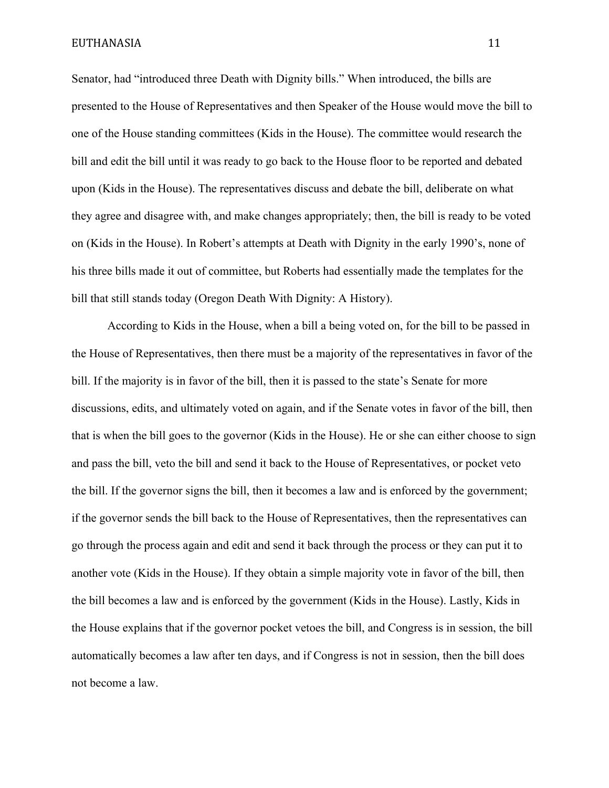Senator, had "introduced three Death with Dignity bills." When introduced, the bills are presented to the House of Representatives and then Speaker of the House would move the bill to one of the House standing committees (Kids in the House). The committee would research the bill and edit the bill until it was ready to go back to the House floor to be reported and debated upon (Kids in the House). The representatives discuss and debate the bill, deliberate on what they agree and disagree with, and make changes appropriately; then, the bill is ready to be voted on (Kids in the House). In Robert's attempts at Death with Dignity in the early 1990's, none of his three bills made it out of committee, but Roberts had essentially made the templates for the bill that still stands today (Oregon Death With Dignity: A History).

According to Kids in the House, when a bill a being voted on, for the bill to be passed in the House of Representatives, then there must be a majority of the representatives in favor of the bill. If the majority is in favor of the bill, then it is passed to the state's Senate for more discussions, edits, and ultimately voted on again, and if the Senate votes in favor of the bill, then that is when the bill goes to the governor (Kids in the House). He or she can either choose to sign and pass the bill, veto the bill and send it back to the House of Representatives, or pocket veto the bill. If the governor signs the bill, then it becomes a law and is enforced by the government; if the governor sends the bill back to the House of Representatives, then the representatives can go through the process again and edit and send it back through the process or they can put it to another vote (Kids in the House). If they obtain a simple majority vote in favor of the bill, then the bill becomes a law and is enforced by the government (Kids in the House). Lastly, Kids in the House explains that if the governor pocket vetoes the bill, and Congress is in session, the bill automatically becomes a law after ten days, and if Congress is not in session, then the bill does not become a law.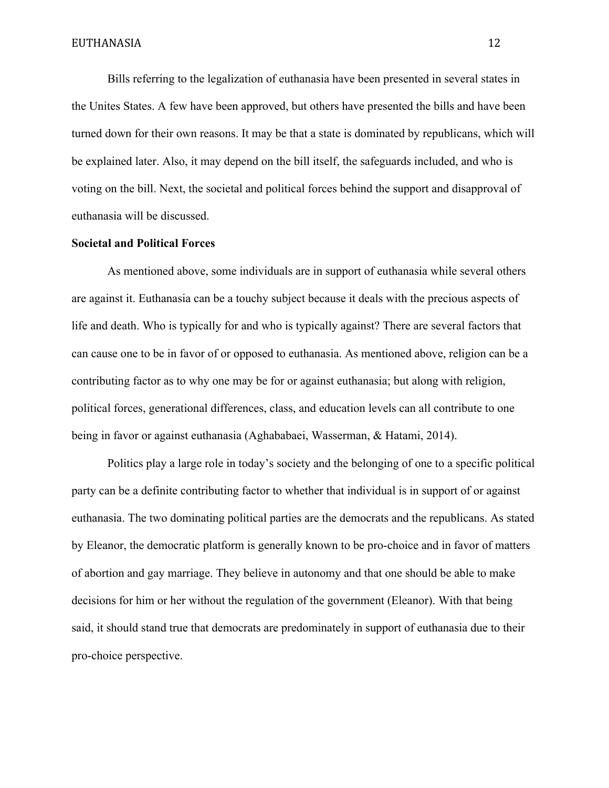Bills referring to the legalization of euthanasia have been presented in several states in the Unites States. A few have been approved, but others have presented the bills and have been turned down for their own reasons. It may be that a state is dominated by republicans, which will be explained later. Also, it may depend on the bill itself, the safeguards included, and who is voting on the bill. Next, the societal and political forces behind the support and disapproval of euthanasia will be discussed.

# **Societal and Political Forces**

As mentioned above, some individuals are in support of euthanasia while several others are against it. Euthanasia can be a touchy subject because it deals with the precious aspects of life and death. Who is typically for and who is typically against? There are several factors that can cause one to be in favor of or opposed to euthanasia. As mentioned above, religion can be a contributing factor as to why one may be for or against euthanasia; but along with religion, political forces, generational differences, class, and education levels can all contribute to one being in favor or against euthanasia (Aghababaei, Wasserman, & Hatami, 2014).

Politics play a large role in today's society and the belonging of one to a specific political party can be a definite contributing factor to whether that individual is in support of or against euthanasia. The two dominating political parties are the democrats and the republicans. As stated by Eleanor, the democratic platform is generally known to be pro-choice and in favor of matters of abortion and gay marriage. They believe in autonomy and that one should be able to make decisions for him or her without the regulation of the government (Eleanor). With that being said, it should stand true that democrats are predominately in support of euthanasia due to their pro-choice perspective.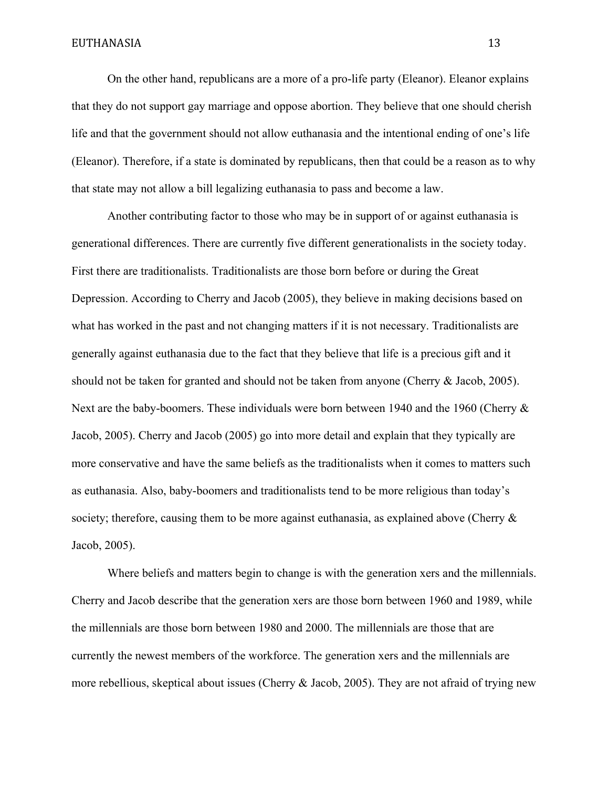On the other hand, republicans are a more of a pro-life party (Eleanor). Eleanor explains that they do not support gay marriage and oppose abortion. They believe that one should cherish life and that the government should not allow euthanasia and the intentional ending of one's life (Eleanor). Therefore, if a state is dominated by republicans, then that could be a reason as to why that state may not allow a bill legalizing euthanasia to pass and become a law.

Another contributing factor to those who may be in support of or against euthanasia is generational differences. There are currently five different generationalists in the society today. First there are traditionalists. Traditionalists are those born before or during the Great Depression. According to Cherry and Jacob (2005), they believe in making decisions based on what has worked in the past and not changing matters if it is not necessary. Traditionalists are generally against euthanasia due to the fact that they believe that life is a precious gift and it should not be taken for granted and should not be taken from anyone (Cherry & Jacob, 2005). Next are the baby-boomers. These individuals were born between 1940 and the 1960 (Cherry  $\&$ Jacob, 2005). Cherry and Jacob (2005) go into more detail and explain that they typically are more conservative and have the same beliefs as the traditionalists when it comes to matters such as euthanasia. Also, baby-boomers and traditionalists tend to be more religious than today's society; therefore, causing them to be more against euthanasia, as explained above (Cherry  $\&$ Jacob, 2005).

Where beliefs and matters begin to change is with the generation xers and the millennials. Cherry and Jacob describe that the generation xers are those born between 1960 and 1989, while the millennials are those born between 1980 and 2000. The millennials are those that are currently the newest members of the workforce. The generation xers and the millennials are more rebellious, skeptical about issues (Cherry & Jacob, 2005). They are not afraid of trying new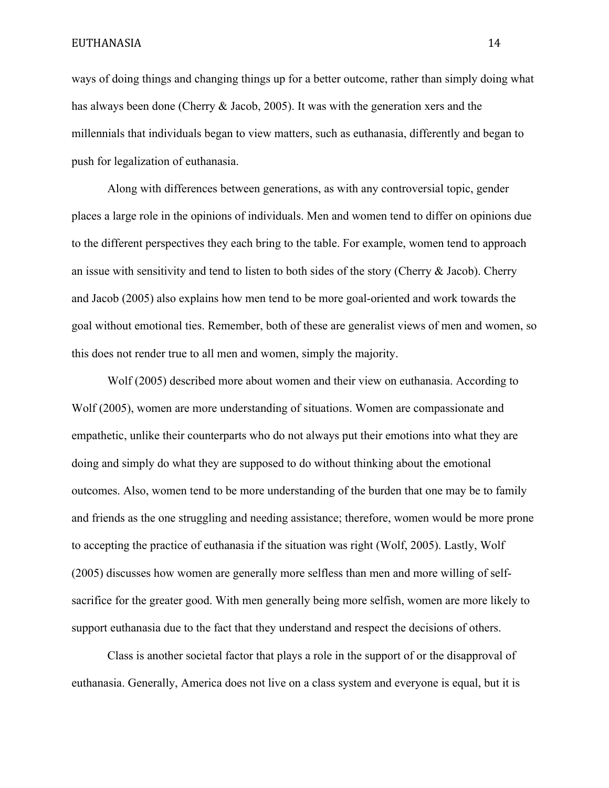ways of doing things and changing things up for a better outcome, rather than simply doing what has always been done (Cherry & Jacob, 2005). It was with the generation xers and the millennials that individuals began to view matters, such as euthanasia, differently and began to push for legalization of euthanasia.

Along with differences between generations, as with any controversial topic, gender places a large role in the opinions of individuals. Men and women tend to differ on opinions due to the different perspectives they each bring to the table. For example, women tend to approach an issue with sensitivity and tend to listen to both sides of the story (Cherry & Jacob). Cherry and Jacob (2005) also explains how men tend to be more goal-oriented and work towards the goal without emotional ties. Remember, both of these are generalist views of men and women, so this does not render true to all men and women, simply the majority.

Wolf (2005) described more about women and their view on euthanasia. According to Wolf (2005), women are more understanding of situations. Women are compassionate and empathetic, unlike their counterparts who do not always put their emotions into what they are doing and simply do what they are supposed to do without thinking about the emotional outcomes. Also, women tend to be more understanding of the burden that one may be to family and friends as the one struggling and needing assistance; therefore, women would be more prone to accepting the practice of euthanasia if the situation was right (Wolf, 2005). Lastly, Wolf (2005) discusses how women are generally more selfless than men and more willing of selfsacrifice for the greater good. With men generally being more selfish, women are more likely to support euthanasia due to the fact that they understand and respect the decisions of others.

Class is another societal factor that plays a role in the support of or the disapproval of euthanasia. Generally, America does not live on a class system and everyone is equal, but it is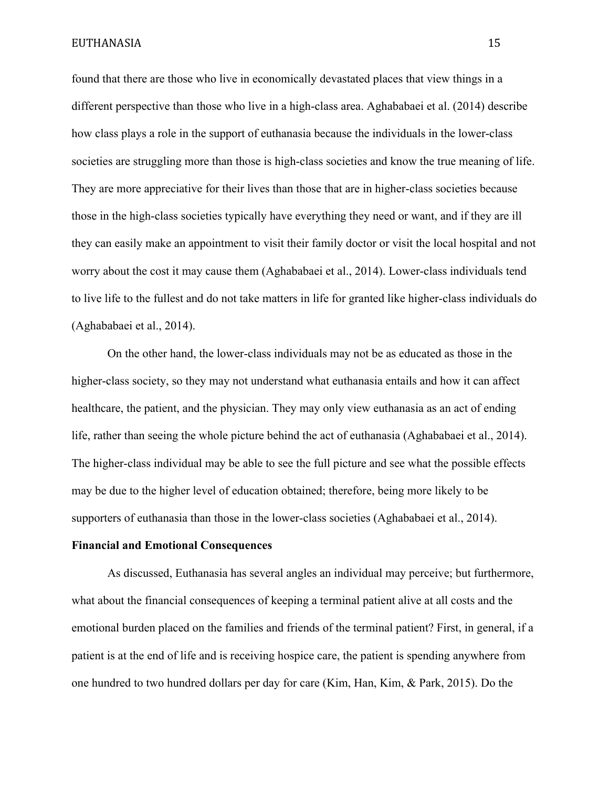found that there are those who live in economically devastated places that view things in a different perspective than those who live in a high-class area. Aghababaei et al. (2014) describe how class plays a role in the support of euthanasia because the individuals in the lower-class societies are struggling more than those is high-class societies and know the true meaning of life. They are more appreciative for their lives than those that are in higher-class societies because those in the high-class societies typically have everything they need or want, and if they are ill they can easily make an appointment to visit their family doctor or visit the local hospital and not worry about the cost it may cause them (Aghababaei et al., 2014). Lower-class individuals tend to live life to the fullest and do not take matters in life for granted like higher-class individuals do (Aghababaei et al., 2014).

On the other hand, the lower-class individuals may not be as educated as those in the higher-class society, so they may not understand what euthanasia entails and how it can affect healthcare, the patient, and the physician. They may only view euthanasia as an act of ending life, rather than seeing the whole picture behind the act of euthanasia (Aghababaei et al., 2014). The higher-class individual may be able to see the full picture and see what the possible effects may be due to the higher level of education obtained; therefore, being more likely to be supporters of euthanasia than those in the lower-class societies (Aghababaei et al., 2014).

### **Financial and Emotional Consequences**

As discussed, Euthanasia has several angles an individual may perceive; but furthermore, what about the financial consequences of keeping a terminal patient alive at all costs and the emotional burden placed on the families and friends of the terminal patient? First, in general, if a patient is at the end of life and is receiving hospice care, the patient is spending anywhere from one hundred to two hundred dollars per day for care (Kim, Han, Kim, & Park, 2015). Do the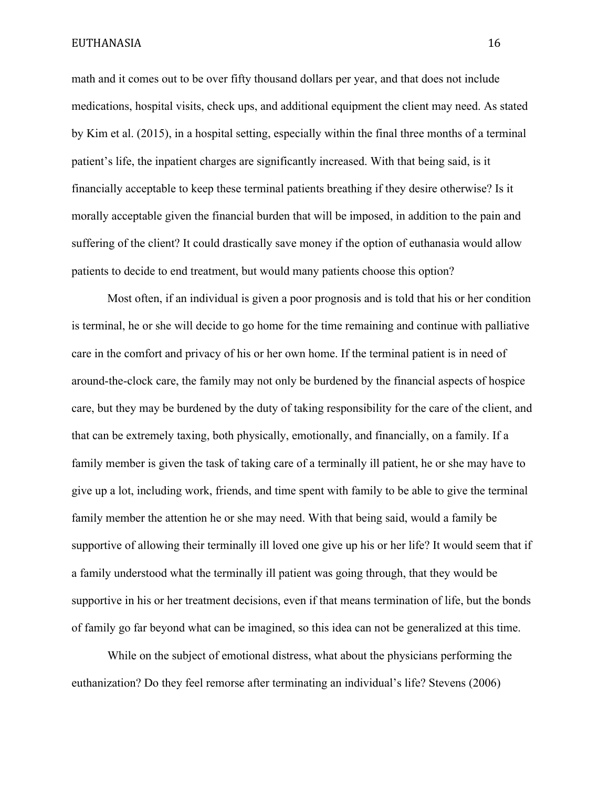math and it comes out to be over fifty thousand dollars per year, and that does not include medications, hospital visits, check ups, and additional equipment the client may need. As stated by Kim et al. (2015), in a hospital setting, especially within the final three months of a terminal patient's life, the inpatient charges are significantly increased. With that being said, is it financially acceptable to keep these terminal patients breathing if they desire otherwise? Is it morally acceptable given the financial burden that will be imposed, in addition to the pain and suffering of the client? It could drastically save money if the option of euthanasia would allow patients to decide to end treatment, but would many patients choose this option?

Most often, if an individual is given a poor prognosis and is told that his or her condition is terminal, he or she will decide to go home for the time remaining and continue with palliative care in the comfort and privacy of his or her own home. If the terminal patient is in need of around-the-clock care, the family may not only be burdened by the financial aspects of hospice care, but they may be burdened by the duty of taking responsibility for the care of the client, and that can be extremely taxing, both physically, emotionally, and financially, on a family. If a family member is given the task of taking care of a terminally ill patient, he or she may have to give up a lot, including work, friends, and time spent with family to be able to give the terminal family member the attention he or she may need. With that being said, would a family be supportive of allowing their terminally ill loved one give up his or her life? It would seem that if a family understood what the terminally ill patient was going through, that they would be supportive in his or her treatment decisions, even if that means termination of life, but the bonds of family go far beyond what can be imagined, so this idea can not be generalized at this time.

While on the subject of emotional distress, what about the physicians performing the euthanization? Do they feel remorse after terminating an individual's life? Stevens (2006)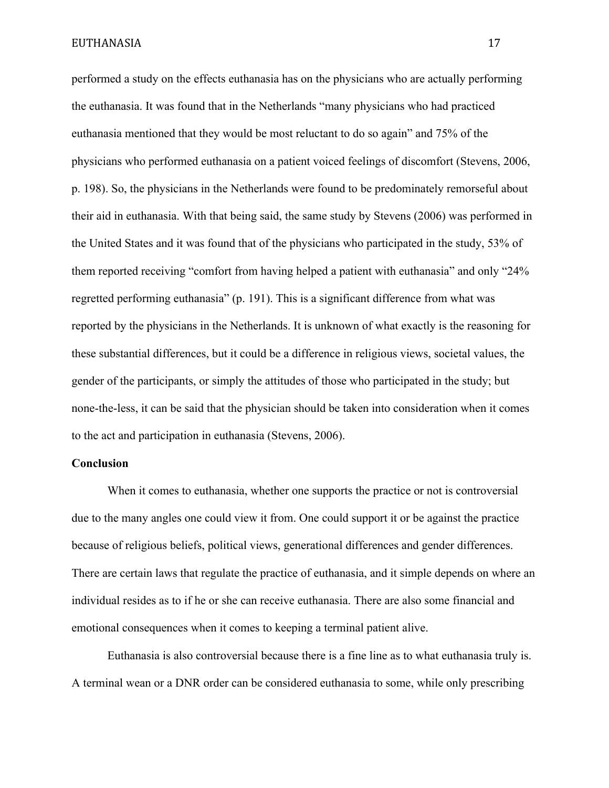performed a study on the effects euthanasia has on the physicians who are actually performing the euthanasia. It was found that in the Netherlands "many physicians who had practiced euthanasia mentioned that they would be most reluctant to do so again" and 75% of the physicians who performed euthanasia on a patient voiced feelings of discomfort (Stevens, 2006, p. 198). So, the physicians in the Netherlands were found to be predominately remorseful about their aid in euthanasia. With that being said, the same study by Stevens (2006) was performed in the United States and it was found that of the physicians who participated in the study, 53% of them reported receiving "comfort from having helped a patient with euthanasia" and only "24% regretted performing euthanasia" (p. 191). This is a significant difference from what was reported by the physicians in the Netherlands. It is unknown of what exactly is the reasoning for these substantial differences, but it could be a difference in religious views, societal values, the gender of the participants, or simply the attitudes of those who participated in the study; but none-the-less, it can be said that the physician should be taken into consideration when it comes to the act and participation in euthanasia (Stevens, 2006).

## **Conclusion**

When it comes to euthanasia, whether one supports the practice or not is controversial due to the many angles one could view it from. One could support it or be against the practice because of religious beliefs, political views, generational differences and gender differences. There are certain laws that regulate the practice of euthanasia, and it simple depends on where an individual resides as to if he or she can receive euthanasia. There are also some financial and emotional consequences when it comes to keeping a terminal patient alive.

Euthanasia is also controversial because there is a fine line as to what euthanasia truly is. A terminal wean or a DNR order can be considered euthanasia to some, while only prescribing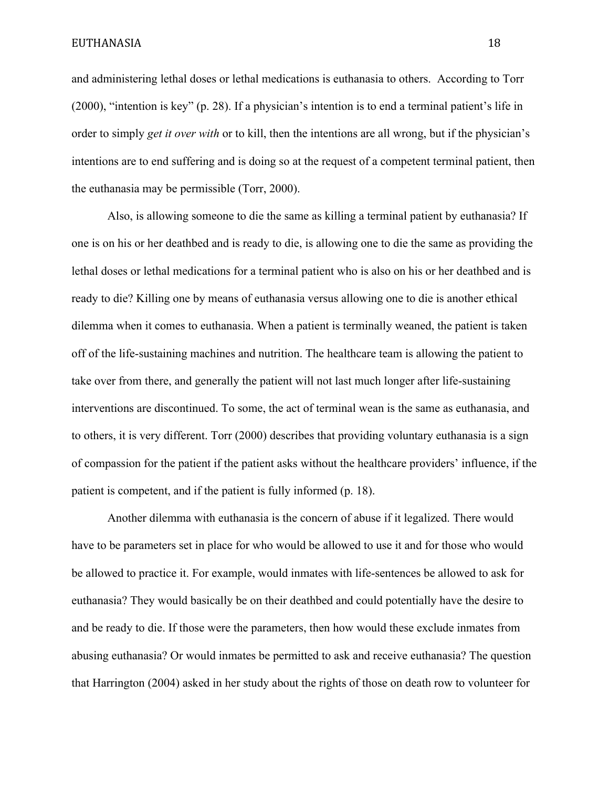and administering lethal doses or lethal medications is euthanasia to others. According to Torr (2000), "intention is key" (p. 28). If a physician's intention is to end a terminal patient's life in order to simply *get it over with* or to kill, then the intentions are all wrong, but if the physician's intentions are to end suffering and is doing so at the request of a competent terminal patient, then the euthanasia may be permissible (Torr, 2000).

Also, is allowing someone to die the same as killing a terminal patient by euthanasia? If one is on his or her deathbed and is ready to die, is allowing one to die the same as providing the lethal doses or lethal medications for a terminal patient who is also on his or her deathbed and is ready to die? Killing one by means of euthanasia versus allowing one to die is another ethical dilemma when it comes to euthanasia. When a patient is terminally weaned, the patient is taken off of the life-sustaining machines and nutrition. The healthcare team is allowing the patient to take over from there, and generally the patient will not last much longer after life-sustaining interventions are discontinued. To some, the act of terminal wean is the same as euthanasia, and to others, it is very different. Torr (2000) describes that providing voluntary euthanasia is a sign of compassion for the patient if the patient asks without the healthcare providers' influence, if the patient is competent, and if the patient is fully informed (p. 18).

Another dilemma with euthanasia is the concern of abuse if it legalized. There would have to be parameters set in place for who would be allowed to use it and for those who would be allowed to practice it. For example, would inmates with life-sentences be allowed to ask for euthanasia? They would basically be on their deathbed and could potentially have the desire to and be ready to die. If those were the parameters, then how would these exclude inmates from abusing euthanasia? Or would inmates be permitted to ask and receive euthanasia? The question that Harrington (2004) asked in her study about the rights of those on death row to volunteer for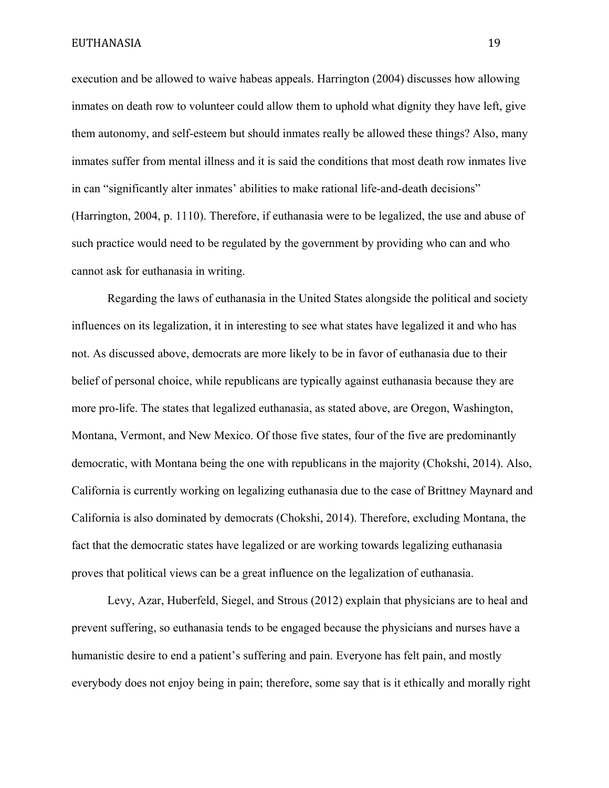execution and be allowed to waive habeas appeals. Harrington (2004) discusses how allowing inmates on death row to volunteer could allow them to uphold what dignity they have left, give them autonomy, and self-esteem but should inmates really be allowed these things? Also, many inmates suffer from mental illness and it is said the conditions that most death row inmates live in can "significantly alter inmates' abilities to make rational life-and-death decisions" (Harrington, 2004, p. 1110). Therefore, if euthanasia were to be legalized, the use and abuse of such practice would need to be regulated by the government by providing who can and who cannot ask for euthanasia in writing.

Regarding the laws of euthanasia in the United States alongside the political and society influences on its legalization, it in interesting to see what states have legalized it and who has not. As discussed above, democrats are more likely to be in favor of euthanasia due to their belief of personal choice, while republicans are typically against euthanasia because they are more pro-life. The states that legalized euthanasia, as stated above, are Oregon, Washington, Montana, Vermont, and New Mexico. Of those five states, four of the five are predominantly democratic, with Montana being the one with republicans in the majority (Chokshi, 2014). Also, California is currently working on legalizing euthanasia due to the case of Brittney Maynard and California is also dominated by democrats (Chokshi, 2014). Therefore, excluding Montana, the fact that the democratic states have legalized or are working towards legalizing euthanasia proves that political views can be a great influence on the legalization of euthanasia.

Levy, Azar, Huberfeld, Siegel, and Strous (2012) explain that physicians are to heal and prevent suffering, so euthanasia tends to be engaged because the physicians and nurses have a humanistic desire to end a patient's suffering and pain. Everyone has felt pain, and mostly everybody does not enjoy being in pain; therefore, some say that is it ethically and morally right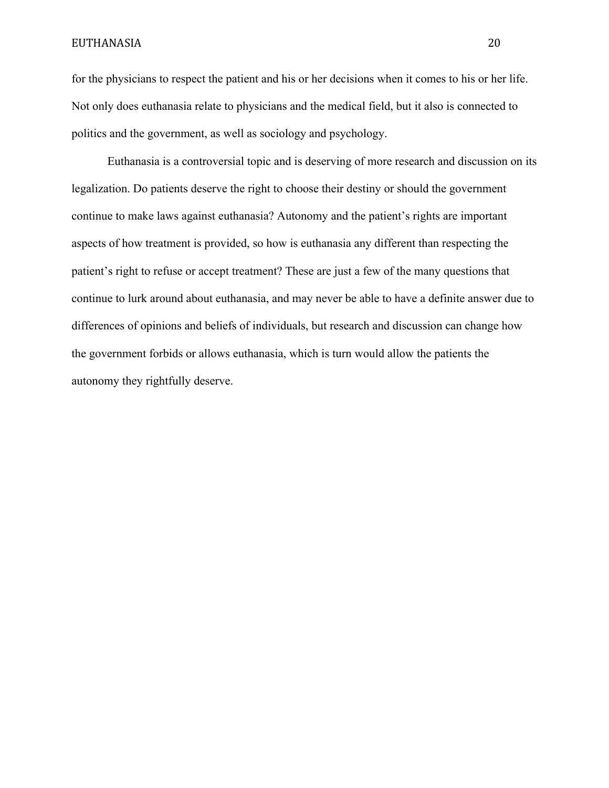for the physicians to respect the patient and his or her decisions when it comes to his or her life. Not only does euthanasia relate to physicians and the medical field, but it also is connected to politics and the government, as well as sociology and psychology.

Euthanasia is a controversial topic and is deserving of more research and discussion on its legalization. Do patients deserve the right to choose their destiny or should the government continue to make laws against euthanasia? Autonomy and the patient's rights are important aspects of how treatment is provided, so how is euthanasia any different than respecting the patient's right to refuse or accept treatment? These are just a few of the many questions that continue to lurk around about euthanasia, and may never be able to have a definite answer due to differences of opinions and beliefs of individuals, but research and discussion can change how the government forbids or allows euthanasia, which is turn would allow the patients the autonomy they rightfully deserve.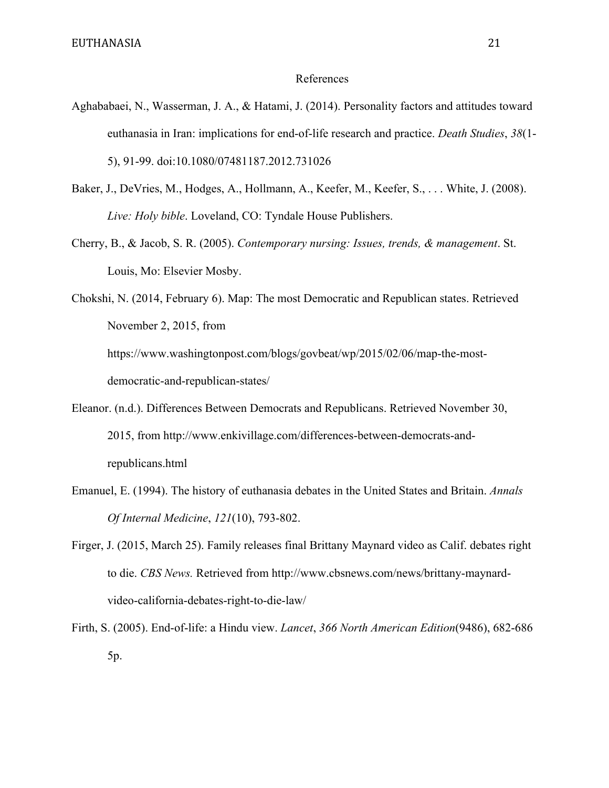#### References

- Aghababaei, N., Wasserman, J. A., & Hatami, J. (2014). Personality factors and attitudes toward euthanasia in Iran: implications for end-of-life research and practice. *Death Studies*, *38*(1- 5), 91-99. doi:10.1080/07481187.2012.731026
- Baker, J., DeVries, M., Hodges, A., Hollmann, A., Keefer, M., Keefer, S., . . . White, J. (2008). *Live: Holy bible*. Loveland, CO: Tyndale House Publishers.
- Cherry, B., & Jacob, S. R. (2005). *Contemporary nursing: Issues, trends, & management*. St. Louis, Mo: Elsevier Mosby.

Chokshi, N. (2014, February 6). Map: The most Democratic and Republican states. Retrieved November 2, 2015, from https://www.washingtonpost.com/blogs/govbeat/wp/2015/02/06/map-the-mostdemocratic-and-republican-states/

- Eleanor. (n.d.). Differences Between Democrats and Republicans. Retrieved November 30, 2015, from http://www.enkivillage.com/differences-between-democrats-andrepublicans.html
- Emanuel, E. (1994). The history of euthanasia debates in the United States and Britain. *Annals Of Internal Medicine*, *121*(10), 793-802.
- Firger, J. (2015, March 25). Family releases final Brittany Maynard video as Calif. debates right to die. *CBS News.* Retrieved from http://www.cbsnews.com/news/brittany-maynardvideo-california-debates-right-to-die-law/
- Firth, S. (2005). End-of-life: a Hindu view. *Lancet*, *366 North American Edition*(9486), 682-686 5p.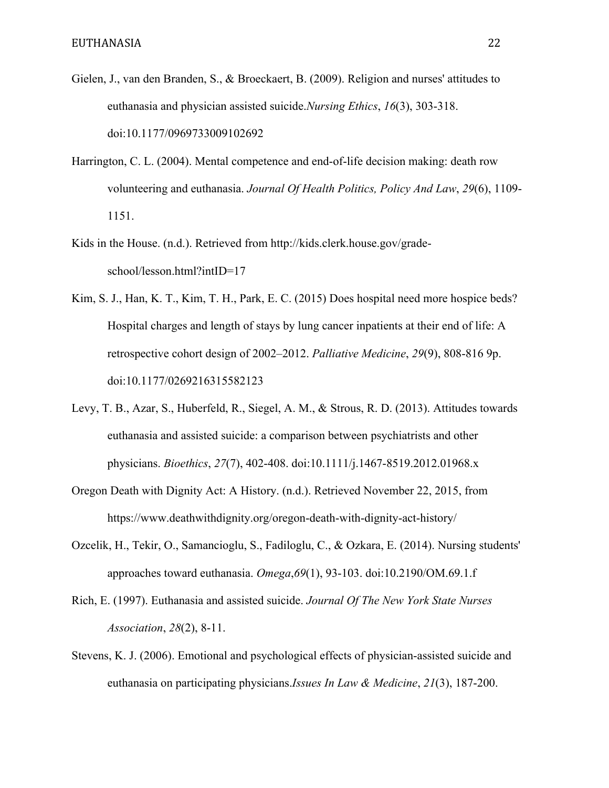- Gielen, J., van den Branden, S., & Broeckaert, B. (2009). Religion and nurses' attitudes to euthanasia and physician assisted suicide.*Nursing Ethics*, *16*(3), 303-318. doi:10.1177/0969733009102692
- Harrington, C. L. (2004). Mental competence and end-of-life decision making: death row volunteering and euthanasia. *Journal Of Health Politics, Policy And Law*, *29*(6), 1109- 1151.
- Kids in the House. (n.d.). Retrieved from http://kids.clerk.house.gov/gradeschool/lesson.html?intID=17
- Kim, S. J., Han, K. T., Kim, T. H., Park, E. C. (2015) Does hospital need more hospice beds? Hospital charges and length of stays by lung cancer inpatients at their end of life: A retrospective cohort design of 2002–2012. *Palliative Medicine*, *29*(9), 808-816 9p. doi:10.1177/0269216315582123
- Levy, T. B., Azar, S., Huberfeld, R., Siegel, A. M., & Strous, R. D. (2013). Attitudes towards euthanasia and assisted suicide: a comparison between psychiatrists and other physicians. *Bioethics*, *27*(7), 402-408. doi:10.1111/j.1467-8519.2012.01968.x
- Oregon Death with Dignity Act: A History. (n.d.). Retrieved November 22, 2015, from https://www.deathwithdignity.org/oregon-death-with-dignity-act-history/
- Ozcelik, H., Tekir, O., Samancioglu, S., Fadiloglu, C., & Ozkara, E. (2014). Nursing students' approaches toward euthanasia. *Omega*,*69*(1), 93-103. doi:10.2190/OM.69.1.f
- Rich, E. (1997). Euthanasia and assisted suicide. *Journal Of The New York State Nurses Association*, *28*(2), 8-11.
- Stevens, K. J. (2006). Emotional and psychological effects of physician-assisted suicide and euthanasia on participating physicians.*Issues In Law & Medicine*, *21*(3), 187-200.